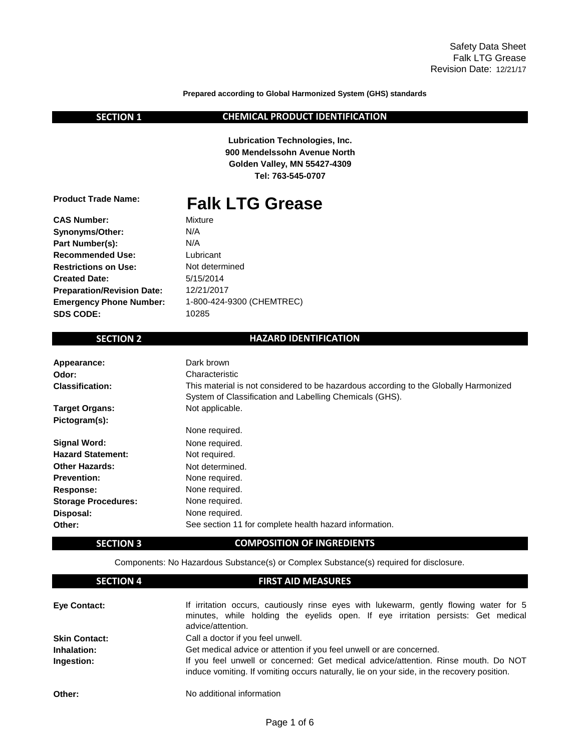**Prepared according to Global Harmonized System (GHS) standards**

| L | ١<br>ъ |  |  |
|---|--------|--|--|
|---|--------|--|--|

### **CHEMICAL PRODUCT IDENTIFICATION**

**Golden Valley, MN 55427-4309 Lubrication Technologies, Inc. 900 Mendelssohn Avenue North Tel: 763-545-0707**

**Product Trade Name:**

# **Falk LTG Grease**

**CAS Number: Synonyms/Other: Part Number(s): Recommended Use: Restrictions on Use: Created Date: Preparation/Revision Date: Emergency Phone Number: SDS CODE:**

Not determined Lubricant N/A Mixture 1-800-424-9300 (CHEMTREC) 12/21/2017 10285 N/A 5/15/2014

### **SECTION 2**

### **HAZARD IDENTIFICATION**

| Appearance:                | Dark brown                                                                                                                                      |
|----------------------------|-------------------------------------------------------------------------------------------------------------------------------------------------|
| Odor:                      | Characteristic                                                                                                                                  |
| <b>Classification:</b>     | This material is not considered to be hazardous according to the Globally Harmonized<br>System of Classification and Labelling Chemicals (GHS). |
| <b>Target Organs:</b>      | Not applicable.                                                                                                                                 |
| Pictogram(s):              |                                                                                                                                                 |
|                            | None required.                                                                                                                                  |
| <b>Signal Word:</b>        | None required.                                                                                                                                  |
| <b>Hazard Statement:</b>   | Not required.                                                                                                                                   |
| <b>Other Hazards:</b>      | Not determined.                                                                                                                                 |
| <b>Prevention:</b>         | None required.                                                                                                                                  |
| Response:                  | None required.                                                                                                                                  |
| <b>Storage Procedures:</b> | None required.                                                                                                                                  |
| Disposal:                  | None required.                                                                                                                                  |
| Other:                     | See section 11 for complete health hazard information.                                                                                          |

### **SECTION 3**

Components: No Hazardous Substance(s) or Complex Substance(s) required for disclosure.

**COMPOSITION OF INGREDIENTS**

| <b>SECTION 4</b>     | <b>FIRST AID MEASURES</b>                                                                                                                                                                      |  |  |
|----------------------|------------------------------------------------------------------------------------------------------------------------------------------------------------------------------------------------|--|--|
| <b>Eye Contact:</b>  | If irritation occurs, cautiously rinse eyes with lukewarm, gently flowing water for 5<br>minutes, while holding the eyelids open. If eye irritation persists: Get medical<br>advice/attention. |  |  |
| <b>Skin Contact:</b> | Call a doctor if you feel unwell.                                                                                                                                                              |  |  |
| Inhalation:          | Get medical advice or attention if you feel unwell or are concerned.                                                                                                                           |  |  |
| Ingestion:           | If you feel unwell or concerned: Get medical advice/attention. Rinse mouth. Do NOT<br>induce vomiting. If vomiting occurs naturally, lie on your side, in the recovery position.               |  |  |
| Other:               | No additional information                                                                                                                                                                      |  |  |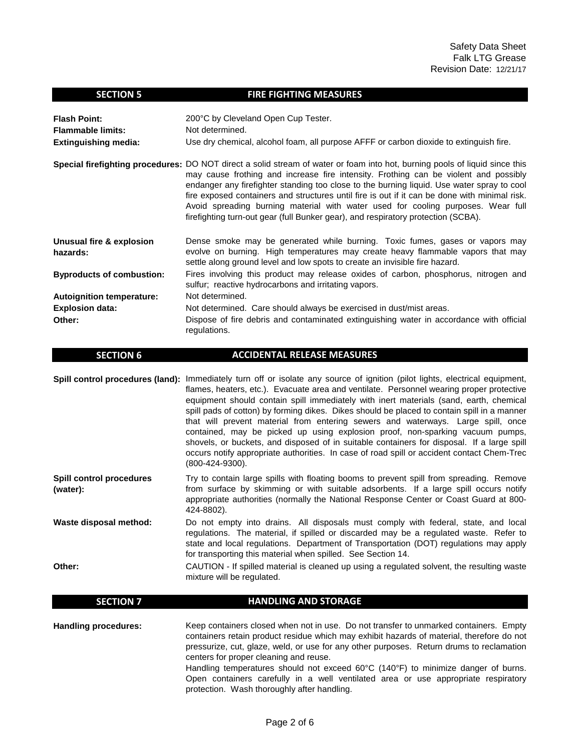| <b>Flash Point:</b>                  | 200°C by Cleveland Open Cup Tester.                                                                                                                                                                                                                                                                                                                                                                                                                                                                                                                                                         |
|--------------------------------------|---------------------------------------------------------------------------------------------------------------------------------------------------------------------------------------------------------------------------------------------------------------------------------------------------------------------------------------------------------------------------------------------------------------------------------------------------------------------------------------------------------------------------------------------------------------------------------------------|
| <b>Flammable limits:</b>             | Not determined.                                                                                                                                                                                                                                                                                                                                                                                                                                                                                                                                                                             |
| <b>Extinguishing media:</b>          | Use dry chemical, alcohol foam, all purpose AFFF or carbon dioxide to extinguish fire.                                                                                                                                                                                                                                                                                                                                                                                                                                                                                                      |
|                                      | Special firefighting procedures: DO NOT direct a solid stream of water or foam into hot, burning pools of liquid since this<br>may cause frothing and increase fire intensity. Frothing can be violent and possibly<br>endanger any firefighter standing too close to the burning liquid. Use water spray to cool<br>fire exposed containers and structures until fire is out if it can be done with minimal risk.<br>Avoid spreading burning material with water used for cooling purposes. Wear full<br>firefighting turn-out gear (full Bunker gear), and respiratory protection (SCBA). |
| Unusual fire & explosion<br>hazards: | Dense smoke may be generated while burning. Toxic fumes, gases or vapors may<br>evolve on burning. High temperatures may create heavy flammable vapors that may<br>settle along ground level and low spots to create an invisible fire hazard.                                                                                                                                                                                                                                                                                                                                              |
| <b>Byproducts of combustion:</b>     | Fires involving this product may release oxides of carbon, phosphorus, nitrogen and<br>sulfur; reactive hydrocarbons and irritating vapors.                                                                                                                                                                                                                                                                                                                                                                                                                                                 |
| <b>Autoignition temperature:</b>     | Not determined.                                                                                                                                                                                                                                                                                                                                                                                                                                                                                                                                                                             |
| <b>Explosion data:</b>               | Not determined. Care should always be exercised in dust/mist areas.                                                                                                                                                                                                                                                                                                                                                                                                                                                                                                                         |
| Other:                               | Dispose of fire debris and contaminated extinguishing water in accordance with official<br>regulations.                                                                                                                                                                                                                                                                                                                                                                                                                                                                                     |

**FIRE FIGHTING MEASURES**

#### **SECTION 6 ACCIDENTAL RELEASE MEASURES**

Spill control procedures (land): Immediately turn off or isolate any source of ignition (pilot lights, electrical equipment, **Spill control procedures (water):** flames, heaters, etc.). Evacuate area and ventilate. Personnel wearing proper protective equipment should contain spill immediately with inert materials (sand, earth, chemical spill pads of cotton) by forming dikes. Dikes should be placed to contain spill in a manner that will prevent material from entering sewers and waterways. Large spill, once contained, may be picked up using explosion proof, non-sparking vacuum pumps, shovels, or buckets, and disposed of in suitable containers for disposal. If a large spill occurs notify appropriate authorities. In case of road spill or accident contact Chem-Trec (800-424-9300). Try to contain large spills with floating booms to prevent spill from spreading. Remove from surface by skimming or with suitable adsorbents. If a large spill occurs notify appropriate authorities (normally the National Response Center or Coast Guard at 800- 424-8802).

**Waste disposal method:** Do not empty into drains. All disposals must comply with federal, state, and local regulations. The material, if spilled or discarded may be a regulated waste. Refer to state and local regulations. Department of Transportation (DOT) regulations may apply for transporting this material when spilled. See Section 14.

**Other:**

 **SECTION 7**

 **SECTION 5**

CAUTION - If spilled material is cleaned up using a regulated solvent, the resulting waste mixture will be regulated.

**HANDLING AND STORAGE**

**Handling procedures:** Keep containers closed when not in use. Do not transfer to unmarked containers. Empty containers retain product residue which may exhibit hazards of material, therefore do not pressurize, cut, glaze, weld, or use for any other purposes. Return drums to reclamation centers for proper cleaning and reuse. Handling temperatures should not exceed 60°C (140°F) to minimize danger of burns. Open containers carefully in a well ventilated area or use appropriate respiratory protection. Wash thoroughly after handling.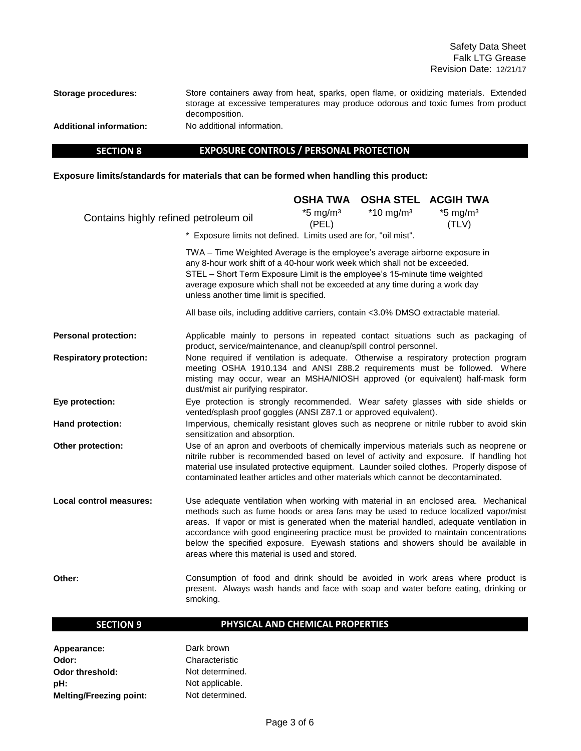Safety Data Sheet Falk LTG Grease Revision Date: 12/21/17

**Storage procedures:**

Store containers away from heat, sparks, open flame, or oxidizing materials. Extended storage at excessive temperatures may produce odorous and toxic fumes from product decomposition. No additional information.

**Additional information:**

 **SECTION 8**

### **EXPOSURE CONTROLS / PERSONAL PROTECTION**

**Exposure limits/standards for materials that can be formed when handling this product:** 

|                                       |                                                                                                                                                                                                                                                                                                                                                                                                                                                                                                     | <b>OSHA TWA</b>                 | <b>OSHA STEL</b>        | <b>ACGIH TWA</b>                |
|---------------------------------------|-----------------------------------------------------------------------------------------------------------------------------------------------------------------------------------------------------------------------------------------------------------------------------------------------------------------------------------------------------------------------------------------------------------------------------------------------------------------------------------------------------|---------------------------------|-------------------------|---------------------------------|
| Contains highly refined petroleum oil |                                                                                                                                                                                                                                                                                                                                                                                                                                                                                                     | $*5$ mg/m <sup>3</sup><br>(PEL) | $*10$ mg/m <sup>3</sup> | $*5$ mg/m <sup>3</sup><br>(TLV) |
|                                       | * Exposure limits not defined. Limits used are for, "oil mist".                                                                                                                                                                                                                                                                                                                                                                                                                                     |                                 |                         |                                 |
|                                       | TWA - Time Weighted Average is the employee's average airborne exposure in<br>any 8-hour work shift of a 40-hour work week which shall not be exceeded.<br>STEL - Short Term Exposure Limit is the employee's 15-minute time weighted<br>average exposure which shall not be exceeded at any time during a work day<br>unless another time limit is specified.                                                                                                                                      |                                 |                         |                                 |
|                                       | All base oils, including additive carriers, contain <3.0% DMSO extractable material.                                                                                                                                                                                                                                                                                                                                                                                                                |                                 |                         |                                 |
| <b>Personal protection:</b>           | Applicable mainly to persons in repeated contact situations such as packaging of<br>product, service/maintenance, and cleanup/spill control personnel.                                                                                                                                                                                                                                                                                                                                              |                                 |                         |                                 |
| <b>Respiratory protection:</b>        | None required if ventilation is adequate. Otherwise a respiratory protection program<br>meeting OSHA 1910.134 and ANSI Z88.2 requirements must be followed. Where<br>misting may occur, wear an MSHA/NIOSH approved (or equivalent) half-mask form<br>dust/mist air purifying respirator.                                                                                                                                                                                                           |                                 |                         |                                 |
| Eye protection:                       | Eye protection is strongly recommended. Wear safety glasses with side shields or<br>vented/splash proof goggles (ANSI Z87.1 or approved equivalent).                                                                                                                                                                                                                                                                                                                                                |                                 |                         |                                 |
| Hand protection:                      | Impervious, chemically resistant gloves such as neoprene or nitrile rubber to avoid skin<br>sensitization and absorption.                                                                                                                                                                                                                                                                                                                                                                           |                                 |                         |                                 |
| Other protection:                     | Use of an apron and overboots of chemically impervious materials such as neoprene or<br>nitrile rubber is recommended based on level of activity and exposure. If handling hot<br>material use insulated protective equipment. Launder soiled clothes. Properly dispose of<br>contaminated leather articles and other materials which cannot be decontaminated.                                                                                                                                     |                                 |                         |                                 |
| <b>Local control measures:</b>        | Use adequate ventilation when working with material in an enclosed area. Mechanical<br>methods such as fume hoods or area fans may be used to reduce localized vapor/mist<br>areas. If vapor or mist is generated when the material handled, adequate ventilation in<br>accordance with good engineering practice must be provided to maintain concentrations<br>below the specified exposure. Eyewash stations and showers should be available in<br>areas where this material is used and stored. |                                 |                         |                                 |
| Other:                                | Consumption of food and drink should be avoided in work areas where product is<br>present. Always wash hands and face with soap and water before eating, drinking or<br>smoking.                                                                                                                                                                                                                                                                                                                    |                                 |                         |                                 |

### **SECTION 9**

### **PHYSICAL AND CHEMICAL PROPERTIES**

| Appearance:                    | Dark brown      |
|--------------------------------|-----------------|
| Odor:                          | Characteristic  |
| <b>Odor threshold:</b>         | Not determined. |
| pH:                            | Not applicable. |
| <b>Melting/Freezing point:</b> | Not determined. |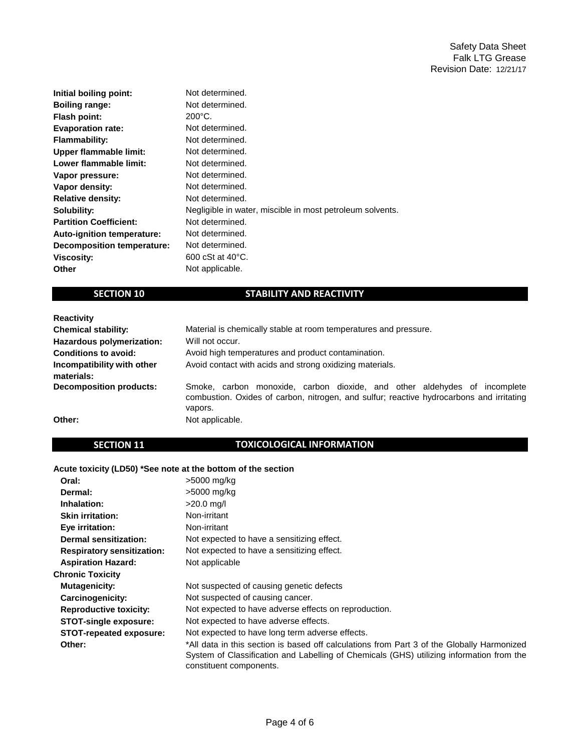| Initial boiling point:        | Not determined.                                           |
|-------------------------------|-----------------------------------------------------------|
| <b>Boiling range:</b>         | Not determined.                                           |
| Flash point:                  | $200^{\circ}$ C.                                          |
| <b>Evaporation rate:</b>      | Not determined.                                           |
| <b>Flammability:</b>          | Not determined.                                           |
| Upper flammable limit:        | Not determined.                                           |
| Lower flammable limit:        | Not determined.                                           |
| Vapor pressure:               | Not determined.                                           |
| Vapor density:                | Not determined.                                           |
| <b>Relative density:</b>      | Not determined.                                           |
| Solubility:                   | Negligible in water, miscible in most petroleum solvents. |
| <b>Partition Coefficient:</b> | Not determined.                                           |
| Auto-ignition temperature:    | Not determined.                                           |
| Decomposition temperature:    | Not determined.                                           |
| <b>Viscosity:</b>             | 600 cSt at 40 °C.                                         |
| Other                         | Not applicable.                                           |

### **SECTION 10**

## **STABILITY AND REACTIVITY**

| <b>Reactivity</b>                        |                                                                                                                                                                                  |
|------------------------------------------|----------------------------------------------------------------------------------------------------------------------------------------------------------------------------------|
| <b>Chemical stability:</b>               | Material is chemically stable at room temperatures and pressure.                                                                                                                 |
| Hazardous polymerization:                | Will not occur.                                                                                                                                                                  |
| <b>Conditions to avoid:</b>              | Avoid high temperatures and product contamination.                                                                                                                               |
| Incompatibility with other<br>materials: | Avoid contact with acids and strong oxidizing materials.                                                                                                                         |
| <b>Decomposition products:</b>           | Smoke, carbon monoxide, carbon dioxide, and other aldehydes of incomplete<br>combustion. Oxides of carbon, nitrogen, and sulfur; reactive hydrocarbons and irritating<br>vapors. |
| Other:                                   | Not applicable.                                                                                                                                                                  |

### **SECTION 11**

### **TOXICOLOGICAL INFORMATION**

### **Acute toxicity (LD50) \*See note at the bottom of the section**

| Oral:                             | >5000 mg/kg                                                                                                                                                                                                       |
|-----------------------------------|-------------------------------------------------------------------------------------------------------------------------------------------------------------------------------------------------------------------|
| Dermal:                           | >5000 mg/kg                                                                                                                                                                                                       |
| Inhalation:                       | $>20.0$ mg/l                                                                                                                                                                                                      |
| <b>Skin irritation:</b>           | Non-irritant                                                                                                                                                                                                      |
| Eye irritation:                   | Non-irritant                                                                                                                                                                                                      |
| Dermal sensitization:             | Not expected to have a sensitizing effect.                                                                                                                                                                        |
| <b>Respiratory sensitization:</b> | Not expected to have a sensitizing effect.                                                                                                                                                                        |
| <b>Aspiration Hazard:</b>         | Not applicable                                                                                                                                                                                                    |
| <b>Chronic Toxicity</b>           |                                                                                                                                                                                                                   |
| <b>Mutagenicity:</b>              | Not suspected of causing genetic defects                                                                                                                                                                          |
| Carcinogenicity:                  | Not suspected of causing cancer.                                                                                                                                                                                  |
| <b>Reproductive toxicity:</b>     | Not expected to have adverse effects on reproduction.                                                                                                                                                             |
| <b>STOT-single exposure:</b>      | Not expected to have adverse effects.                                                                                                                                                                             |
| <b>STOT-repeated exposure:</b>    | Not expected to have long term adverse effects.                                                                                                                                                                   |
| Other:                            | *All data in this section is based off calculations from Part 3 of the Globally Harmonized<br>System of Classification and Labelling of Chemicals (GHS) utilizing information from the<br>constituent components. |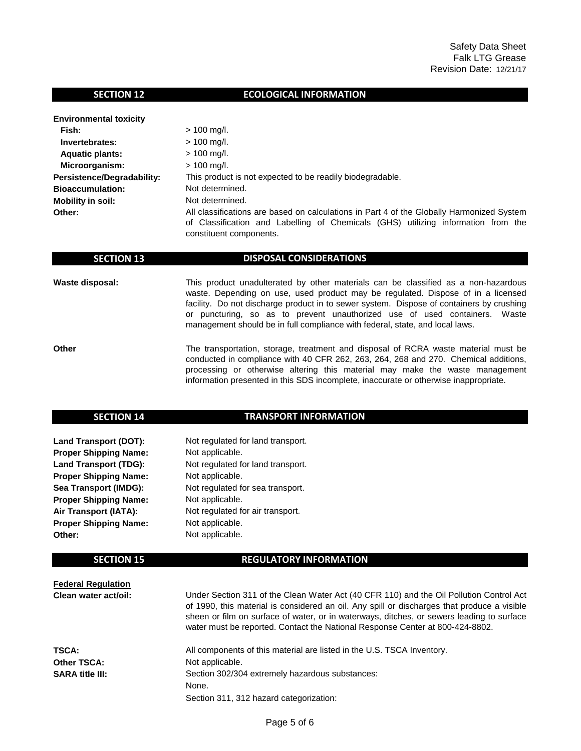### **SECTION 12**

### **ECOLOGICAL INFORMATION**

| <b>Environmental toxicity</b> |                                                                                                                                                                                                           |  |  |
|-------------------------------|-----------------------------------------------------------------------------------------------------------------------------------------------------------------------------------------------------------|--|--|
| Fish:                         | $> 100$ mg/l.                                                                                                                                                                                             |  |  |
| Invertebrates:                | $> 100$ mg/l.                                                                                                                                                                                             |  |  |
| <b>Aquatic plants:</b>        | $> 100$ mg/l.                                                                                                                                                                                             |  |  |
| Microorganism:                | $> 100$ mg/l.                                                                                                                                                                                             |  |  |
| Persistence/Degradability:    | This product is not expected to be readily biodegradable.                                                                                                                                                 |  |  |
| <b>Bioaccumulation:</b>       | Not determined.                                                                                                                                                                                           |  |  |
| <b>Mobility in soil:</b>      | Not determined.                                                                                                                                                                                           |  |  |
| Other:                        | All classifications are based on calculations in Part 4 of the Globally Harmonized System<br>of Classification and Labelling of Chemicals (GHS) utilizing information from the<br>constituent components. |  |  |

#### **DISPOSAL CONSIDERATIONS**

Not regulated for land transport.

Not regulated for land transport.

Not regulated for sea transport.

Not regulated for air transport.

**Waste disposal:**

This product unadulterated by other materials can be classified as a non-hazardous waste. Depending on use, used product may be regulated. Dispose of in a licensed facility. Do not discharge product in to sewer system. Dispose of containers by crushing or puncturing, so as to prevent unauthorized use of used containers. Waste management should be in full compliance with federal, state, and local laws.

**Other** The transportation, storage, treatment and disposal of RCRA waste material must be conducted in compliance with 40 CFR 262, 263, 264, 268 and 270. Chemical additions, processing or otherwise altering this material may make the waste management information presented in this SDS incomplete, inaccurate or otherwise inappropriate.

### **SECTION 14**

 **SECTION 13**

### **TRANSPORT INFORMATION**

**Land Transport (DOT): Proper Shipping Name: Land Transport (TDG): Proper Shipping Name: Sea Transport (IMDG): Proper Shipping Name: Air Transport (IATA): Proper Shipping Name: Other:**

### **SECTION 15**

#### **REGULATORY INFORMATION**

| <b>Federal Regulation</b> |                                                                                                                                                                                                                                                                                                                                                                      |
|---------------------------|----------------------------------------------------------------------------------------------------------------------------------------------------------------------------------------------------------------------------------------------------------------------------------------------------------------------------------------------------------------------|
| Clean water act/oil:      | Under Section 311 of the Clean Water Act (40 CFR 110) and the Oil Pollution Control Act<br>of 1990, this material is considered an oil. Any spill or discharges that produce a visible<br>sheen or film on surface of water, or in waterways, ditches, or sewers leading to surface<br>water must be reported. Contact the National Response Center at 800-424-8802. |
| TSCA:                     | All components of this material are listed in the U.S. TSCA Inventory.                                                                                                                                                                                                                                                                                               |
| <b>Other TSCA:</b>        | Not applicable.                                                                                                                                                                                                                                                                                                                                                      |
| <b>SARA title III:</b>    | Section 302/304 extremely hazardous substances:                                                                                                                                                                                                                                                                                                                      |
|                           | None.                                                                                                                                                                                                                                                                                                                                                                |
|                           | Section 311, 312 hazard categorization:                                                                                                                                                                                                                                                                                                                              |

Not applicable.

Not applicable.

Not applicable.

Not applicable.

Not applicable.